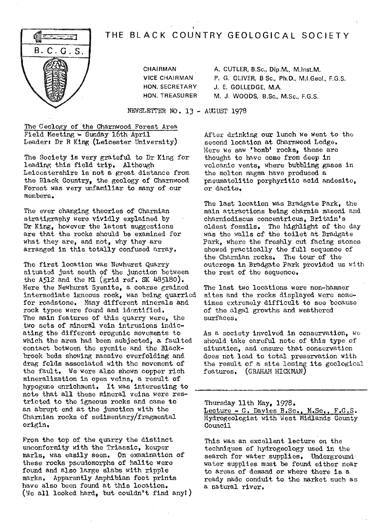# THE BLACK COUNTRY GEOLOGICAL SOCIETY



**CHAIRMAN** A. CUTLER, B.Sc., Dip,M., M.Inst.M. VICE CHAIRMAN P. G. OLIVER, B Sc., Ph.D., M.I.Geol., F.G.S. HON. SECRETARY J, E. GOLLEDGE, M.A. **HON. TREASURER M.** J. WOODS, B.Sc., M.Sc., F.G.S.

NEWSLETTER NO. 13 - AUGUST 1978

t

The Geology of the Charnwood Forest Area Field Meeting - Sunday 16th April Leader: Dr R King (Leicester University)

The Society is very grateful to Dr King for leading; this field trip.. Although Leicestershire is not a great distance from the Black Country, the geology of Charnwood Forest was very unfamiliar to many of our members.

The ever changing theories of Charnian stratigraphy were vividly explained by Dr King, however the latest suggestions are that the rocks should be examined for what they are, and not, why they are arranged in this totally confused array.

The first location was Newhurst Quarry situated just south of the junction between the A512 and the Ml (grid ref. SK  $485180$ ). Here the Newhurst Syenite, a coarse grained intermediate igneous rock, was being quarried for roadstone. Many different minerals and rock types were found and identified. The main features of this quarry were, the two sets of mineral vein intrusipns indicating the different orogenic movements to which the area had been subjected, a faulted contact between the syenite and the Blackbrook beds showing massive overfolding and drag folds associated with the movement of the fault. We were also shown copper rich mineralization in open veins, a result of hypogene enrichment. It was interesting to note that all these mineral veins were restricted to the igneous rocks and came to an abrupt end at the junction with the Charnian rocks of sedimentary/fragmental origin.

From the top of the quarry the distinct unconformity with the Triassic, keuper marls, was easily seen. On examination of these rocks pseudomorphs of halite were found and also large slabs with ripple marks, Apparently Amphibian foot prints have also been found at this location. (We all looked hard, but couldn't find any!) After drinking our lunch we went to the second location at Charnwood Lodge. Here we saw 'bomb' rocks, these are thought to have come from deep in volcanic vents, where bubbling gases in the molten magma have produced a pneumatolitic porphyritic acid andesite, or dacite.

The last location was Bradgate Park, the main attractions being charnia masoni and charniodiscus concentricus, Britain's oldest fossils, The highlight of the day was the walls of the toilet at Bradgate Park, where the freshly cut facing stones showed practically the full sequence of the Charnian rocks. The tour of the outcrops **in** Bradgato Park provided us with the rest of the sequence.

The last two locations were non-hammer sites and the rocks displayed were sometimes extremely difficult to see because of the algal growths and weathered surfaces,

As a *society involved in* conservation, we should take careful note of this type of situation, and ensure that conservation does not lead to total preservation with the result of a site losing its geological features. (GRAHAM HICKMAN)

Thursday 11th May, 1978. Lecture - G. *Davies B.Sc., M.Sc., F.G.S .* Hydrogeologist with West Midlands County Council

This was an excellent lecture on the techniques of hydrogeology used in the search for water supplies. Underground water supplies must be found either near to areas of demand or where there is a ready made conduit to the market such as a natural river.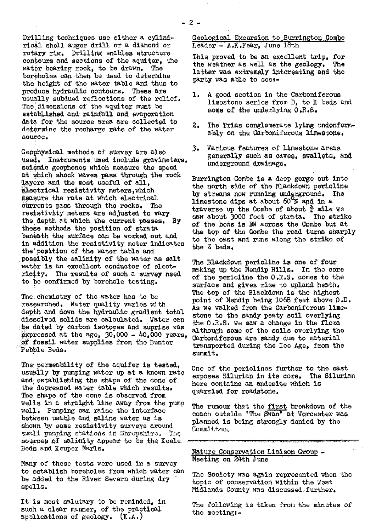**Drilling** techniques *use either a cylind*rical shell auger drill or a diamond or rotary rig. **Drilling** enables structure contours and sections of the aquiter, the water bearing rock, to be drawn. The *boreholes can then be used to* determine the height of the water table and thus to produce hydraulic contours. These are usually subdued reflections of the relief. The dimensions of the aquiter must be established and rainfall and evaporation data for the source area are collected to determine the recharge rate of the water soUrce.

Geophysical methods of survey are also used. Instruments used include gravimeters, seismic geophones which measure the speed at which shook waves pass through the rock layers and the most useful of all, electrical resistivity meters, which measure the rate at which electrical currents pass through the rocks. The resistivity meters are adjusted to vary the depth at which the current passes. By these *methods the position of strata beneath* the surface can be worked out and in addition the resistivity meter indicates the position of *the water table and* possibly the salinity of the water as salt water is an excellent conductor of electricity. The results of such a survey need to be confirmed by borehole testing,

The . chemistry of the water has to be researched, Water quality varies with depth and down the hydraulic gradient total dissolved solids are calculated. Water can be dated *by carbon isotopes and suprise was* expressed at the age,  $30,000 - 40,000$  years, of fossil water supplies from the Bunter Pebble Beds.

The: permeability of the aquifer is tested, usually by pumping water up at a known rate and establishing the shape of the cone of the depressed water table which results. The shape of the cone is observed from wells in a straight line away from the pump well. Pumping can **raise** the interface between usable and saline water as is shown by some resistivity surveys around small pumping stations in Shropshire. The sources of salinity appear to be the Keele. Beds and Keuper Marls.

Many of these tests were used in a survey to establish boreholes from which water can be added to the River Severn during dry spells.

It is most salutary to be reminded, in such a clear manner, of the practical applications of geology. (K.A.)

Geological Excursion to Burrington Combe Geological Excursion to Burrin<br>Leader - A.K.Fear, June 18th

This proved to be an excellent trip, for<br>the weather as well as the geology. The the weather as well as the geology. latter was extremely interesting and the party was able to **seei-**

- 1. A good section in the Carboniferous limestone series from D, to K beds and some of the underlying  $0.8.5.$
- 2. The Trias conglomerate lying undonformably on the Carboniferous limestone.
- 3, Various features of limestone areas generally such as caves. swallets, and underground\_ drainage,

Burrington Combe Is a deep gorge out into the north side of the Blackdown perioline by streams now running underground. The *limestone dips at about 60 N aaid In a* traverse up the Combe of about  $\frac{3}{4}$  mile we saw about 3000 feet of strata. The strike saw about 3000 feet of strata. of the beds is W across the Combo but at the top of the Combe the road turns sharply to the east and runs along the strike of the Z beds.

The Blackdown pericline is one of four making up the Mendip **Hills. In** the core of the pericline the 0.R.S. comes to the surface and **gives rise** to upland heath. The top of the Plaekdown is the highest point of Mendip being 1068 feet above O.D. As we walked from the Carboniferous limestone to the sandy peaty **soil** overlying the O.R.S. we saw a change in the flora although some of the **soils** overlying the Carboniferous are sandy due to material transported during the Ice Age, from the summit.

One of the periclines further to the east<br>exposes Silurian in its core. The Silurian exposes Silurian in its core. here contains an andesite which is quarried for roadstone.

The rumour that the first breakdown of the coach outside 'The Swan' at Worcester was planned is being strongly denied by the c mrrIttoc.

Nature Conservation Liaison Group -Meeting on 24th June

The Society was again represented when the topic of conservation within the West Midlands County was discussed. further.

The following is taken from the minutes of the meotingt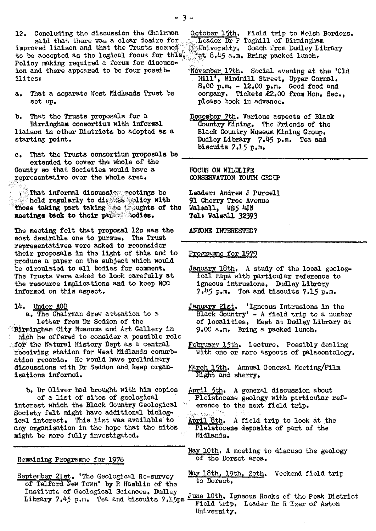a. That a separate West Midlands Trust be set up.

b. That the Trusts proposals for a December 7th. Various aspects of Black<br>Birmingham consortium with informal Country Mining. The Friends of the liaison in other Districts be adopted as a starting point.

c. That the Trusts consortium proposals bo extended to cover the whole of the County so that Societies would have a .representative over the whole area.

That informal discussie meetings be held regularly to dir Ges alicy with those taking part taking the 'soughts of the meetings beck to their pa1:::.:::.odies.

The meeting felt that proposal 12c was the most desirable one to pursue. The Trust representatives were asked to reconsider their proposals in the light of this and to produce a paper on the subject which would be circulated to all bodies for comment. The **Trusts** were asked to look carefully at the resource implications and to keep MCC informed on this aspect.

#### 14. Under AGB

a. The Chairman drew attention to a letter from Dr Seddon of the

• Birmingham City Museums and Art Gallery In hteh he offered to consider a possible role for the Natural History Dept as a central receiving station for West Midlands conurbation records. He would have preliminary discussions with Dr Seddon and keep organisations informed.

b. Dr Oliver had brought with him copies of a list of sites of geological interest which the Black Country Geological Society felt might have additional biolog-ical interest. This list was available to any organisation in the hope that the sites might be more fully Investigated.

## Remaining Programme for 1978

of Telford New Town' by R Hamblin of the Institute of Geological Sciences. Dudley

- Mill', Windmill Street, Upper Gornal.  $8.00 \text{ p.m.} - 12.00 \text{ p.m.}$  Good food and company. Tickets £2.00 from Hon. Sec.. please book in advance.
- Country Mining. The Friends of the Black Country Museum Mining. Group. Dudley Library 7.45 p.m. Tea and biscuits 7.15 p.m.

FOCUS ON WILDLIFE CONSERVATION YOUTH GROUP

Leaders Andrew J Purcell 91 Cherry Tree Avenue Walsall, WS5 4JN Tell Walsall 32393

ANYONE INTERESTED?

#### Programme for 1979

- January 18th. A study of the local geological maps with particular reference to igneous intrusions. Dudley Library 7.45 p.m. Tea and biscuits 7.15 p.m,
- January 21st. 'Igneous Intrusions in the Black Country' - A field trip to a number of localities. Meet at Dudley Library at 9.00 a.m, Bring a packed lunch.
- February 15th. Lecture. Possibly dealing with one or more aspects of palaeontology.

March 15th. Annual General Meeting/Film Night and sherry.

- Aril 5th. A general discussion about Pleistocene geology with particular reference to the next field trip.
- April 8th. A field trip to look at the Pleistocene deposits of part of the Midlands.
- May 10th. A meeting to discuss the geology of the Dorset area.
- September 21st. 'The Geological Re-survey May 18th, 19th, 2oth. Weekend field trip
	- Institute of Geological Sciences. Dudley<br>Library 7.45 p.m. Tea and biscuits 7.15pm  $\frac{\text{June 10th}}{\text{Field trip}}$ . Leader Dr R Ixer of Aston University,